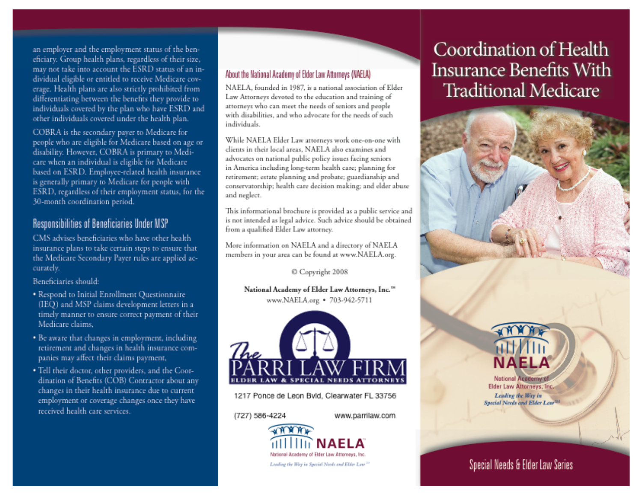**u** construer and the employment status of the hen. **Example 1** dividual eligible or entitled to receive Medicare c **differentiating between the benefits th** individuals covered up the pian who have ESKL<br>
other individuals covered under the health plan. tus of the bei eficiary. Group health plans, regardless of their size, erage. Health plans are also strictly prohibited from individuals covered by the plan who have ESRD and

**COBRA** is the secondary paver to Me people who are eligible for Medicare based on age or es of Beneficiaries under Medicare based on<br>disability. However, COBRA is primary to Me **beneficiary beneficiary care when an individual is eligible for Medicar** Ease when an *individual* is english to victimative in America including long-term health care; planning for<br>terment; estate planning and probate; guardianship and **ns to take certain steps to the take certain** steps to the take control to the task of the task of the task of the task of the task of the task of the task of the task of the task of the task of the task of the task of th **Secondary Primary to Medi**<br> **SECOND** 30-month coordination period.

## **Responsibilities of Beneficiaries Under MSP**

CMS advises beneficiaries who have other health insurance plans to take certain steps to ensure that the Medicare Secondary Payer rules are applied accurately.

**Beneficiaries should: b a** *b* **c c** *c c c c c* 

**should:**

**aims,**

**plans are also strictly prohibited from g between the benefits they provide to vend by the plan who have ESRD and**

- **FREED PROVIDERS PROVIDERS Benefits (IEQ)** and MM' claims development let **timely manner to ensure correct paymer Medicare claims.**
- **Ith care services\_ 1 1** panies may affect their claims payment, (727 586-4224
	- dination of Benefits (COB) Contractor about any changes in their health insurance due to current **S** received health care services.

#### **status of an in- Mout the listingal Acology of Directional** About the National Academy of Elder Law Attorneys (NAELA)

**Law Attorneys devoted to the education and training of attorneys who can meet the needs of seniors and people**

> NAELA, founded in 1987, is a national association of Elder Law Attorneys devoted to the education and training of attorneys who can meet the needs of seniors and people with disabilities, and who advocate for the needs of such individuals.

**I=r alM.E M• IMP E IMinh**

While NAELA Elder Law attorneys work one-on-one with clients in their local areas. NAELA also examines and advocates on national public policy issues facing seniors conservatorship; health care decision making; and elder abuse and neglect.

This informational brochure is provided as a public service and is not intended as legal advice. Such advice should be obtained from a qualified Elder Law attorney.

More information on NAELA and a directory of NAELA members in your area can be found at www.NAELA.org.

© Copyright 2008

National Academy of Elder Law Attorneys, Inc.<sup>100</sup><br>www.NAELA.org • 703-942-5711



1217 Ponce de Leon Bvld, Clearwater FL 33756

(727) 586-4224

www.parrilaw.com



# Coordination of Health Insurance Benefits With **Traditional Medicare**



**Lesdiv ifte ligt7 em**

**National Academyri**  $L_{\text{eq}}$ 

# Special Needs & Elder Law Series